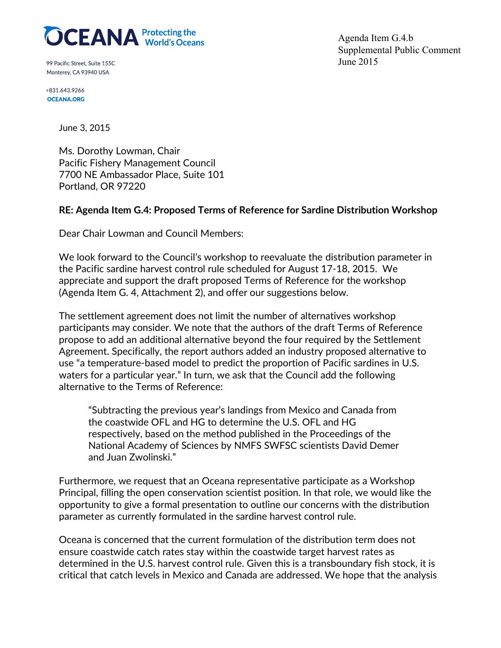

99 Pacific Street, Suite 155C Monterey, CA 93940 USA

+831.643.9266 **OCEANA.ORG** 

Agenda Item G.4.b Supplemental Public Comment June 2015

June 3, 2015

Ms. Dorothy Lowman, Chair Pacific Fishery Management Council 7700 NE Ambassador Place, Suite 101 Portland, OR 97220

## **RE: Agenda Item G.4: Proposed Terms of Reference for Sardine Distribution Workshop**

Dear Chair Lowman and Council Members:

We look forward to the Council's workshop to reevaluate the distribution parameter in the Pacific sardine harvest control rule scheduled for August 17-18, 2015. We appreciate and support the draft proposed Terms of Reference for the workshop (Agenda Item G. 4, Attachment 2), and offer our suggestions below.

The settlement agreement does not limit the number of alternatives workshop participants may consider. We note that the authors of the draft Terms of Reference propose to add an additional alternative beyond the four required by the Settlement Agreement. Specifically, the report authors added an industry proposed alternative to use "a temperature-based model to predict the proportion of Pacific sardines in U.S. waters for a particular year." In turn, we ask that the Council add the following alternative to the Terms of Reference:

"Subtracting the previous year's landings from Mexico and Canada from the coastwide OFL and HG to determine the U.S. OFL and HG respectively, based on the method published in the Proceedings of the National Academy of Sciences by NMFS SWFSC scientists David Demer and Juan Zwolinski."

Furthermore, we request that an Oceana representative participate as a Workshop Principal, filling the open conservation scientist position. In that role, we would like the opportunity to give a formal presentation to outline our concerns with the distribution parameter as currently formulated in the sardine harvest control rule.

Oceana is concerned that the current formulation of the distribution term does not ensure coastwide catch rates stay within the coastwide target harvest rates as determined in the U.S. harvest control rule. Given this is a transboundary fish stock, it is critical that catch levels in Mexico and Canada are addressed. We hope that the analysis